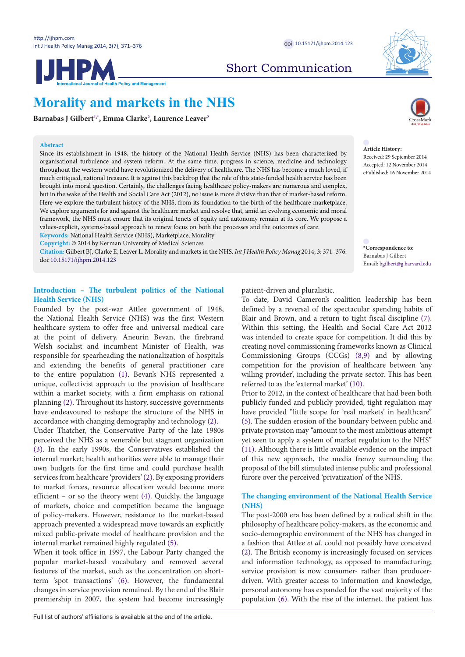

Short Communication

# **Morality and markets in the NHS**

**Barnabas J Gilber[t1](#page-4-0)[,\\*](#page-0-0) , Emma Clarke[2](#page-4-1) , Laurence Leaver[2](#page-4-1)**

## **Abstract**

Since its establishment in 1948, the history of the National Health Service (NHS) has been characterized by organisational turbulence and system reform. At the same time, progress in science, medicine and technology throughout the western world have revolutionized the delivery of healthcare. The NHS has become a much loved, if much critiqued, national treasure. It is against this backdrop that the role of this state-funded health service has been brought into moral question. Certainly, the challenges facing healthcare policy-makers are numerous and complex, but in the wake of the Health and Social Care Act (2012), no issue is more divisive than that of market-based reform. Here we explore the turbulent history of the NHS, from its foundation to the birth of the healthcare marketplace. We explore arguments for and against the healthcare market and resolve that, amid an evolving economic and moral framework, the NHS must ensure that its original tenets of equity and autonomy remain at its core. We propose a values-explicit, systems-based approach to renew focus on both the processes and the outcomes of care. **Keywords:** National Health Service (NHS), Marketplace, Morality

**Copyright:** © 2014 by Kerman University of Medical Sciences

**Citation:** Gilbert BJ, Clarke E, Leaver L. Morality and markets in the NHS. *Int J Health Policy Manag* 2014; 3: 371–376. doi:[10.15171/ijhpm.2014.123](http://dx.doi.org/10.15171/ijhpm.2014.123)

# **Introduction – The turbulent politics of the National Health Service (NHS)**

Founded by the post-war Attlee government of 1948, the National Health Service (NHS) was the first Western healthcare system to offer free and universal medical care at the point of delivery. Aneurin Bevan, the firebrand Welsh socialist and incumbent Minister of Health, was responsible for spearheading the nationalization of hospitals and extending the benefits of general practitioner care to the entire population [\(1\)](#page-4-2). Bevan's NHS represented a unique, collectivist approach to the provision of healthcare within a market society, with a firm emphasis on rational planning [\(2](#page-4-3)). Throughout its history, successive governments have endeavoured to reshape the structure of the NHS in accordance with changing demography and technology [\(2\)](#page-4-3).

Under Thatcher, the Conservative Party of the late 1980s perceived the NHS as a venerable but stagnant organization [\(3](#page-4-4)). In the early 1990s, the Conservatives established the internal market; health authorities were able to manage their own budgets for the first time and could purchase health services from healthcare 'providers' [\(2\)](#page-4-3). By exposing providers to market forces, resource allocation would become more efficient – or so the theory went [\(4](#page-4-5)). Quickly, the language of markets, choice and competition became the language of policy-makers. However, resistance to the market-based approach prevented a widespread move towards an explicitly mixed public-private model of healthcare provision and the internal market remained highly regulated ([5\)](#page-4-6).

When it took office in 1997, the Labour Party changed the popular market-based vocabulary and removed several features of the market, such as the concentration on shortterm 'spot transactions' ([6\)](#page-4-7). However, the fundamental changes in service provision remained. By the end of the Blair premiership in 2007, the system had become increasingly patient-driven and pluralistic.

To date, David Cameron's coalition leadership has been defined by a reversal of the spectacular spending habits of Blair and Brown, and a return to tight fiscal discipline ([7](#page-4-8)). Within this setting, the Health and Social Care Act 2012 was intended to create space for competition. It did this by creating novel commissioning frameworks known as Clinical Commissioning Groups (CCGs) [\(8](#page-4-9)[,9](#page-4-10)) and by allowing competition for the provision of healthcare between 'any willing provider', including the private sector. This has been referred to as the 'external market' [\(10\)](#page-4-11).

Prior to 2012, in the context of healthcare that had been both publicly funded and publicly provided, tight regulation may have provided "little scope for 'real markets' in healthcare" ([5\)](#page-4-6). The sudden erosion of the boundary between public and private provision may "amount to the most ambitious attempt yet seen to apply a system of market regulation to the NHS" ([11](#page-4-12)). Although there is little available evidence on the impact of this new approach, the media frenzy surrounding the proposal of the bill stimulated intense public and professional furore over the perceived 'privatization' of the NHS.

# **The changing environment of the National Health Service (NHS)**

The post-2000 era has been defined by a radical shift in the philosophy of healthcare policy-makers, as the economic and socio-demographic environment of the NHS has changed in a fashion that Attlee *et al.* could not possibly have conceived ([2\)](#page-4-3). The British economy is increasingly focused on services and information technology, as opposed to manufacturing; service provision is now consumer- rather than producerdriven. With greater access to information and knowledge, personal autonomy has expanded for the vast majority of the population ([6](#page-4-7)). With the rise of the internet, the patient has



**Article History:** Received: 29 September 2014 Accepted: 12 November 2014 ePublished: 16 November 2014

<span id="page-0-0"></span>**\*Correspondence to:** Barnabas J Gilbert Email: bgilbert@g.harvard.edu

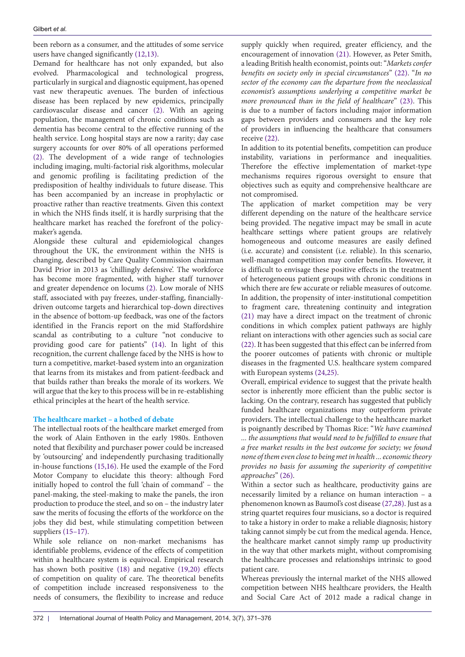been reborn as a consumer, and the attitudes of some service users have changed significantly [\(12,](#page-4-13)[13\)](#page-4-14).

Demand for healthcare has not only expanded, but also evolved. Pharmacological and technological progress, particularly in surgical and diagnostic equipment, has opened vast new therapeutic avenues. The burden of infectious disease has been replaced by new epidemics, principally cardiovascular disease and cancer ([2\)](#page-4-3). With an ageing population, the management of chronic conditions such as dementia has become central to the effective running of the health service. Long hospital stays are now a rarity; day case surgery accounts for over 80% of all operations performed ([2\)](#page-4-3). The development of a wide range of technologies including imaging, multi-factorial risk algorithms, molecular and genomic profiling is facilitating prediction of the predisposition of healthy individuals to future disease. This has been accompanied by an increase in prophylactic or proactive rather than reactive treatments. Given this context in which the NHS finds itself, it is hardly surprising that the healthcare market has reached the forefront of the policymaker's agenda.

Alongside these cultural and epidemiological changes throughout the UK, the environment within the NHS is changing, described by Care Quality Commission chairman David Prior in 2013 as 'chillingly defensive'. The workforce has become more fragmented, with higher staff turnover and greater dependence on locums ([2\)](#page-4-3). Low morale of NHS staff, associated with pay freezes, under-staffing, financiallydriven outcome targets and hierarchical top-down directives in the absence of bottom-up feedback, was one of the factors identified in the Francis report on the mid Staffordshire scandal as contributing to a culture "not conducive to providing good care for patients" ([14](#page-4-15)). In light of this recognition, the current challenge faced by the NHS is how to turn a competitive, market-based system into an organization that learns from its mistakes and from patient-feedback and that builds rather than breaks the morale of its workers. We will argue that the key to this process will be in re-establishing ethical principles at the heart of the health service.

## **The healthcare market – a hotbed of debate**

The intellectual roots of the healthcare market emerged from the work of Alain Enthoven in the early 1980s. Enthoven noted that flexibility and purchaser power could be increased by 'outsourcing' and independently purchasing traditionally in-house functions [\(15](#page-4-16)[,16\)](#page-4-17). He used the example of the Ford Motor Company to elucidate this theory: although Ford initially hoped to control the full 'chain of command' – the panel-making, the steel-making to make the panels, the iron production to produce the steel, and so on – the industry later saw the merits of focusing the efforts of the workforce on the jobs they did best, while stimulating competition between suppliers ([15–17](#page-4-18)).

While sole reliance on non-market mechanisms has identifiable problems, evidence of the effects of competition within a healthcare system is equivocal. Empirical research has shown both positive [\(18\)](#page-4-19) and negative [\(19](#page-4-20)[,20\)](#page-5-0) effects of competition on quality of care. The theoretical benefits of competition include increased responsiveness to the needs of consumers, the flexibility to increase and reduce

supply quickly when required, greater efficiency, and the encouragement of innovation [\(21\)](#page-5-1). However, as Peter Smith, a leading British health economist, points out: "*Markets confer benefits on society only in special circumstances*" ([22](#page-5-2)). "*In no sector of the economy can the departure from the neoclassical economist's assumptions underlying a competitive market be more pronounced than in the field of healthcare*" ([23](#page-5-3)). This is due to a number of factors including major information gaps between providers and consumers and the key role of providers in influencing the healthcare that consumers receive [\(22](#page-5-2)).

In addition to its potential benefits, competition can produce instability, variations in performance and inequalities. Therefore the effective implementation of market-type mechanisms requires rigorous oversight to ensure that objectives such as equity and comprehensive healthcare are not compromised.

The application of market competition may be very different depending on the nature of the healthcare service being provided. The negative impact may be small in acute healthcare settings where patient groups are relatively homogeneous and outcome measures are easily defined (i.e. accurate) and consistent (i.e. reliable). In this scenario, well-managed competition may confer benefits. However, it is difficult to envisage these positive effects in the treatment of heterogeneous patient groups with chronic conditions in which there are few accurate or reliable measures of outcome. In addition, the propensity of inter-institutional competition to fragment care, threatening continuity and integration [\(21\)](#page-5-1) may have a direct impact on the treatment of chronic conditions in which complex patient pathways are highly reliant on interactions with other agencies such as social care [\(22\)](#page-5-2). It has been suggested that this effect can be inferred from the poorer outcomes of patients with chronic or multiple diseases in the fragmented U.S. healthcare system compared with European systems ([24](#page-5-4),[25](#page-5-5)).

Overall, empirical evidence to suggest that the private health sector is inherently more efficient than the public sector is lacking. On the contrary, research has suggested that publicly funded healthcare organizations may outperform private providers. The intellectual challenge to the healthcare market is poignantly described by Thomas Rice: "*We have examined ... the assumptions that would need to be fulfilled to ensure that a free market results in the best outcome for society; we found none of them even close to being met in health ... economic theory provides no basis for assuming the superiority of competitive approaches*" ([26\)](#page-5-6).

Within a sector such as healthcare, productivity gains are necessarily limited by a reliance on human interaction – a phenomenon known as Baumol's cost disease ([27](#page-5-7),[28](#page-5-8)). Just as a string quartet requires four musicians, so a doctor is required to take a history in order to make a reliable diagnosis; history taking cannot simply be cut from the medical agenda. Hence, the healthcare market cannot simply ramp up productivity in the way that other markets might, without compromising the healthcare processes and relationships intrinsic to good patient care.

Whereas previously the internal market of the NHS allowed competition between NHS healthcare providers, the Health and Social Care Act of 2012 made a radical change in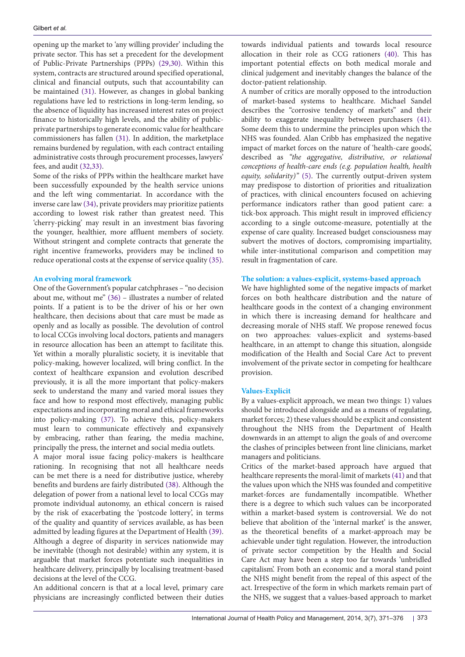opening up the market to 'any willing provider' including the private sector. This has set a precedent for the development of Public-Private Partnerships (PPPs) ([29](#page-5-9),[30](#page-5-10)). Within this system, contracts are structured around specified operational, clinical and financial outputs, such that accountability can be maintained ([31](#page-5-11)). However, as changes in global banking regulations have led to restrictions in long-term lending, so the absence of liquidity has increased interest rates on project finance to historically high levels, and the ability of publicprivate partnerships to generate economic value for healthcare commissioners has fallen ([31](#page-5-11)). In addition, the marketplace remains burdened by regulation, with each contract entailing administrative costs through procurement processes, lawyers' fees, and audit ([32](#page-5-12)[,33](#page-5-13)).

Some of the risks of PPPs within the healthcare market have been successfully expounded by the health service unions and the left wing commentariat. In accordance with the inverse care law [\(34\)](#page-5-14), private providers may prioritize patients according to lowest risk rather than greatest need. This 'cherry-picking' may result in an investment bias favoring the younger, healthier, more affluent members of society. Without stringent and complete contracts that generate the right incentive frameworks, providers may be inclined to reduce operational costs at the expense of service quality ([35\)](#page-5-15).

## **An evolving moral framework**

One of the Government's popular catchphrases – "no decision about me, without me" [\(36](#page-5-16)) – illustrates a number of related points. If a patient is to be the driver of his or her own healthcare, then decisions about that care must be made as openly and as locally as possible. The devolution of control to local CCGs involving local doctors, patients and managers in resource allocation has been an attempt to facilitate this. Yet within a morally pluralistic society, it is inevitable that policy-making, however localized, will bring conflict. In the context of healthcare expansion and evolution described previously, it is all the more important that policy-makers seek to understand the many and varied moral issues they face and how to respond most effectively, managing public expectations and incorporating moral and ethical frameworks into policy-making ([37](#page-5-17)). To achieve this, policy-makers must learn to communicate effectively and expansively by embracing, rather than fearing, the media machine, principally the press, the internet and social media outlets.

A major moral issue facing policy-makers is healthcare rationing. In recognising that not all healthcare needs can be met there is a need for distributive justice, whereby benefits and burdens are fairly distributed [\(38](#page-5-18)). Although the delegation of power from a national level to local CCGs may promote individual autonomy, an ethical concern is raised by the risk of exacerbating the 'postcode lottery', in terms of the quality and quantity of services available, as has been admitted by leading figures at the Department of Health ([39\)](#page-5-19). Although a degree of disparity in services nationwide may be inevitable (though not desirable) within any system, it is arguable that market forces potentiate such inequalities in healthcare delivery, principally by localising treatment-based decisions at the level of the CCG.

An additional concern is that at a local level, primary care physicians are increasingly conflicted between their duties

towards individual patients and towards local resource allocation in their role as CCG rationers ([40](#page-5-20)). This has important potential effects on both medical morale and clinical judgement and inevitably changes the balance of the doctor-patient relationship.

A number of critics are morally opposed to the introduction of market-based systems to healthcare. Michael Sandel describes the "corrosive tendency of markets" and their ability to exaggerate inequality between purchasers [\(41](#page-5-21)). Some deem this to undermine the principles upon which the NHS was founded. Alan Cribb has emphasized the negative impact of market forces on the nature of 'health-care goods', described as *"the aggregative, distributive, or relational conceptions of health-care ends (e.g. population health, health equity, solidarity)"* [\(5\)](#page-4-6). The currently output-driven system may predispose to distortion of priorities and ritualization of practices, with clinical encounters focused on achieving performance indicators rather than good patient care: a tick-box approach. This might result in improved efficiency according to a single outcome-measure, potentially at the expense of care quality. Increased budget consciousness may subvert the motives of doctors, compromising impartiality, while inter-institutional comparison and competition may result in fragmentation of care.

# **The solution: a values-explicit, systems-based approach**

We have highlighted some of the negative impacts of market forces on both healthcare distribution and the nature of healthcare goods in the context of a changing environment in which there is increasing demand for healthcare and decreasing morale of NHS staff. We propose renewed focus on two approaches: values-explicit and systems-based healthcare, in an attempt to change this situation, alongside modification of the Health and Social Care Act to prevent involvement of the private sector in competing for healthcare provision.

## **Values-Explicit**

By a values-explicit approach, we mean two things: 1) values should be introduced alongside and as a means of regulating, market forces; 2) these values should be explicit and consistent throughout the NHS from the Department of Health downwards in an attempt to align the goals of and overcome the clashes of principles between front line clinicians, market managers and politicians.

Critics of the market-based approach have argued that healthcare represents the moral-limit of markets [\(41\)](#page-5-21) and that the values upon which the NHS was founded and competitive market-forces are fundamentally incompatible. Whether there is a degree to which such values can be incorporated within a market-based system is controversial. We do not believe that abolition of the 'internal market' is the answer, as the theoretical benefits of a market-approach may be achievable under tight regulation. However, the introduction of private sector competition by the Health and Social Care Act may have been a step too far towards 'unbridled capitalism'. From both an economic and a moral stand point the NHS might benefit from the repeal of this aspect of the act. Irrespective of the form in which markets remain part of the NHS, we suggest that a values-based approach to market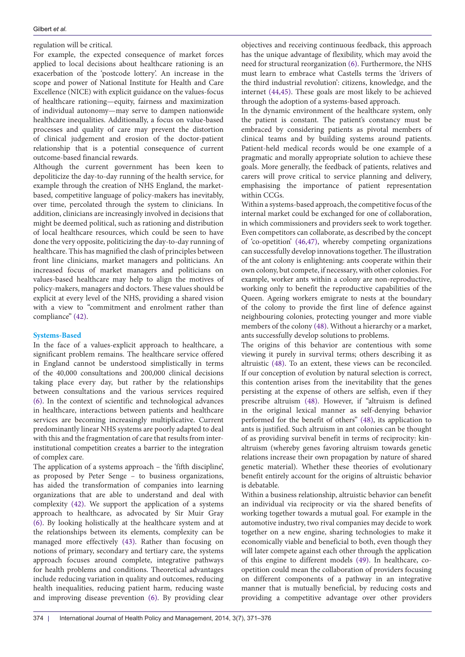regulation will be critical.

For example, the expected consequence of market forces applied to local decisions about healthcare rationing is an exacerbation of the 'postcode lottery'. An increase in the scope and power of National Institute for Health and Care Excellence (NICE) with explicit guidance on the values-focus of healthcare rationing—equity, fairness and maximization of individual autonomy—may serve to dampen nationwide healthcare inequalities. Additionally, a focus on value-based processes and quality of care may prevent the distortion of clinical judgement and erosion of the doctor-patient relationship that is a potential consequence of current outcome-based financial rewards.

Although the current government has been keen to depoliticize the day-to-day running of the health service, for example through the creation of NHS England, the marketbased, competitive language of policy-makers has inevitably, over time, percolated through the system to clinicians. In addition, clinicians are increasingly involved in decisions that might be deemed political, such as rationing and distribution of local healthcare resources, which could be seen to have done the very opposite, politicizing the day-to-day running of healthcare. This has magnified the clash of principles between front line clinicians, market managers and politicians. An increased focus of market managers and politicians on values-based healthcare may help to align the motives of policy-makers, managers and doctors. These values should be explicit at every level of the NHS, providing a shared vision with a view to "commitment and enrolment rather than compliance" ([42](#page-5-22)).

# **Systems-Based**

In the face of a values-explicit approach to healthcare, a significant problem remains. The healthcare service offered in England cannot be understood simplistically in terms of the 40,000 consultations and 200,000 clinical decisions taking place every day, but rather by the relationships between consultations and the various services required ([6\)](#page-4-7). In the context of scientific and technological advances in healthcare, interactions between patients and healthcare services are becoming increasingly multiplicative. Current predominantly linear NHS systems are poorly adapted to deal with this and the fragmentation of care that results from interinstitutional competition creates a barrier to the integration of complex care.

The application of a systems approach – the 'fifth discipline', as proposed by Peter Senge – to business organizations, has aided the transformation of companies into learning organizations that are able to understand and deal with complexity ([42](#page-5-22)). We support the application of a systems approach to healthcare, as advocated by Sir Muir Gray ([6\)](#page-4-7). By looking holistically at the healthcare system and at the relationships between its elements, complexity can be managed more effectively ([43](#page-5-23)). Rather than focusing on notions of primary, secondary and tertiary care, the systems approach focuses around complete, integrative pathways for health problems and conditions. Theoretical advantages include reducing variation in quality and outcomes, reducing health inequalities, reducing patient harm, reducing waste and improving disease prevention [\(6](#page-4-7)). By providing clear

objectives and receiving continuous feedback, this approach has the unique advantage of flexibility, which may avoid the need for structural reorganization [\(6](#page-4-7)). Furthermore, the NHS must learn to embrace what Castells terms the 'drivers of the third industrial revolution': citizens, knowledge, and the internet ([44](#page-5-24)[,45](#page-5-25)). These goals are most likely to be achieved through the adoption of a systems-based approach.

In the dynamic environment of the healthcare system, only the patient is constant. The patient's constancy must be embraced by considering patients as pivotal members of clinical teams and by building systems around patients. Patient-held medical records would be one example of a pragmatic and morally appropriate solution to achieve these goals. More generally, the feedback of patients, relatives and carers will prove critical to service planning and delivery, emphasising the importance of patient representation within CCGs.

Within a systems-based approach, the competitive focus of the internal market could be exchanged for one of collaboration, in which commissioners and providers seek to work together. Even competitors can collaborate, as described by the concept of 'co-opetition' ([46](#page-5-26)[,47](#page-5-27)), whereby competing organizations can successfully develop innovations together. The illustration of the ant colony is enlightening: ants cooperate within their own colony, but compete, if necessary, with other colonies. For example, worker ants within a colony are non-reproductive, working only to benefit the reproductive capabilities of the Queen. Ageing workers emigrate to nests at the boundary of the colony to provide the first line of defence against neighbouring colonies, protecting younger and more viable members of the colony [\(48\)](#page-5-28). Without a hierarchy or a market, ants successfully develop solutions to problems.

The origins of this behavior are contentious with some viewing it purely in survival terms; others describing it as altruistic [\(48](#page-5-28)). To an extent, these views can be reconciled. If our conception of evolution by natural selection is correct, this contention arises from the inevitability that the genes persisting at the expense of others are selfish, even if they prescribe altruism ([48](#page-5-28)). However, if "altruism is defined in the original lexical manner as self-denying behavior performed for the benefit of others" ([48\)](#page-5-28), its application to ants is justified. Such altruism in ant colonies can be thought of as providing survival benefit in terms of reciprocity: kinaltruism (whereby genes favoring altruism towards genetic relations increase their own propagation by nature of shared genetic material). Whether these theories of evolutionary benefit entirely account for the origins of altruistic behavior is debatable.

Within a business relationship, altruistic behavior can benefit an individual via reciprocity or via the shared benefits of working together towards a mutual goal. For example in the automotive industry, two rival companies may decide to work together on a new engine, sharing technologies to make it economically viable and beneficial to both, even though they will later compete against each other through the application of this engine to different models [\(49\)](#page-5-29). In healthcare, coopetition could mean the collaboration of providers focusing on different components of a pathway in an integrative manner that is mutually beneficial, by reducing costs and providing a competitive advantage over other providers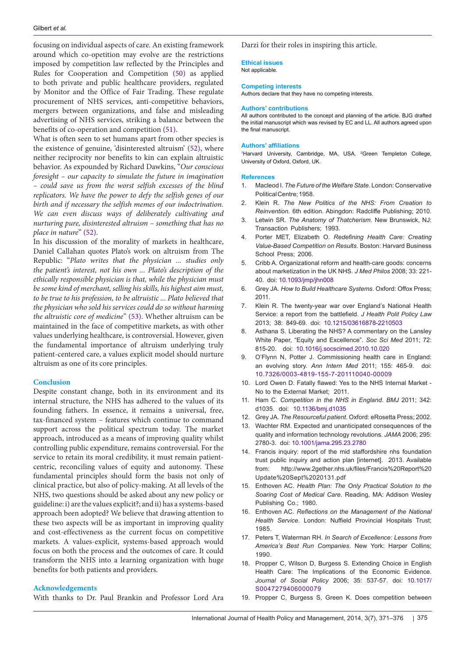focusing on individual aspects of care. An existing framework around which co-opetition may evolve are the restrictions imposed by competition law reflected by the Principles and Rules for Cooperation and Competition ([50](#page-5-30)) as applied to both private and public healthcare providers, regulated by Monitor and the Office of Fair Trading. These regulate procurement of NHS services, anti-competitive behaviors, mergers between organizations, and false and misleading advertising of NHS services, striking a balance between the benefits of co-operation and competition ([51\)](#page-5-31).

What is often seen to set humans apart from other species is the existence of genuine, 'disinterested altruism' [\(52](#page-5-32)), where neither reciprocity nor benefits to kin can explain altruistic behavior. As expounded by Richard Dawkins, "*Our conscious foresight – our capacity to simulate the future in imagination – could save us from the worst selfish excesses of the blind replicators. We have the power to defy the selfish genes of our birth and if necessary the selfish memes of our indoctrination. We can even discuss ways of deliberately cultivating and nurturing pure, disinterested altruism – something that has no place in nature*" [\(52\)](#page-5-32).

In his discussion of the morality of markets in healthcare, Daniel Callahan quotes Plato's work on altruism from The Republic: "*Plato writes that the physician ... studies only the patient's interest, not his own ... Plato's description of the ethically responsible physician is that, while the physician must be some kind of merchant, selling his skills, his highest aim must, to be true to his profession, to be altruistic ... Plato believed that the physician who sold his services could do so without harming the altruistic core of medicine*" ([53\)](#page-5-33). Whether altruism can be maintained in the face of competitive markets, as with other values underlying healthcare, is controversial. However, given the fundamental importance of altruism underlying truly patient-centered care, a values explicit model should nurture altruism as one of its core principles.

## **Conclusion**

Despite constant change, both in its environment and its internal structure, the NHS has adhered to the values of its founding fathers. In essence, it remains a universal, free, tax-financed system – features which continue to command support across the political spectrum today. The market approach, introduced as a means of improving quality whilst controlling public expenditure, remains controversial. For the service to retain its moral credibility, it must remain patientcentric, reconciling values of equity and autonomy. These fundamental principles should form the basis not only of clinical practice, but also of policy-making. At all levels of the NHS, two questions should be asked about any new policy or guideline: i) are the values explicit?; and ii) has a systems-based approach been adopted? We believe that drawing attention to these two aspects will be as important in improving quality and cost-effectiveness as the current focus on competitive markets. A values-explicit, systems-based approach would focus on both the process and the outcomes of care. It could transform the NHS into a learning organization with huge benefits for both patients and providers.

## **Acknowledgements**

With thanks to Dr. Paul Brankin and Professor Lord Ara

Darzi for their roles in inspiring this article.

#### **Ethical issues**

Not applicable.

#### **Competing interests**

Authors declare that they have no competing interests.

#### **Authors' contributions**

All authors contributed to the concept and planning of the article. BJG drafted the initial manuscript which was revised by EC and LL. All authors agreed upon the final manuscript.

#### **Authors' affiliations**

<span id="page-4-1"></span><span id="page-4-0"></span><sup>1</sup>Harvard University, Cambridge, MA, USA. <sup>2</sup>Green Templeton College, University of Oxford, Oxford, UK.

#### **References**

- <span id="page-4-2"></span>1. Macleod I. *The Future of the Welfare State*. London: Conservative Political Centre; 1958.
- <span id="page-4-3"></span>2. Klein R. *The New Politics of the NHS: From Creation to Reinvention.* 6th edition. Abingdon: Radcliffe Publishing; 2010.
- <span id="page-4-4"></span>3. Letwin SR. *The Anatomy of Thatcherism*. New Brunswick, NJ: Transaction Publishers; 1993.
- <span id="page-4-5"></span>4. Porter MET, Elizabeth O. *Redefining Health Care: Creating Value-Based Competition on Results*. Boston: Harvard Business School Press; 2006.
- <span id="page-4-6"></span>5. Cribb A. Organizational reform and health-care goods: concerns about marketization in the UK NHS. *J Med Philos* 2008; 33: 221- 40. doi: 10.1093/jmp/jhn008
- <span id="page-4-7"></span>6. Grey JA. *How to Build Healthcare Systems*. Oxford: Offox Press; 2011.
- <span id="page-4-8"></span>7. Klein R. The twenty-year war over England's National Health Service: a report from the battlefield. *J Health Polit Policy Law*  2013; 38: 849-69. doi: [10.1215/03616878-2210503](http://dx.doi.org/10.1215/03616878-2210503)
- <span id="page-4-9"></span>8. Asthana S. Liberating the NHS? A commentary on the Lansley White Paper, "Equity and Excellence". *Soc Sci Med* 2011; 72: 815-20. doi: [10.1016/j.socscimed.2010.10.020](http://dx.doi.org/10.1016/j.socscimed.2010.10.020)
- <span id="page-4-10"></span>9. O'Flynn N, Potter J. Commissioning health care in England: an evolving story. *Ann Intern Med* 2011; 155: 465-9. doi: [10.7326/0003-4819-155-7-201110040-00009](http://dx.doi.org/10.7326/0003-4819-155-7-201110040-00009)
- <span id="page-4-11"></span>10. Lord Owen D. Fatally flawed: Yes to the NHS Internal Market - No to the External Market; 2011.
- <span id="page-4-12"></span>11. Ham C. *Competition in the NHS in England*. *BMJ* 2011; 342: d1035. doi: [10.1136/bmj.d1035](http://dx.doi.org/10.1136/bmj.d1035)
- <span id="page-4-13"></span>12. Grey JA. *The Resourceful patient*. Oxford: eRosetta Press; 2002.
- <span id="page-4-14"></span>13. Wachter RM. Expected and unanticipated consequences of the quality and information technology revolutions. *JAMA* 2006; 295: 2780-3. doi: [10.1001/jama.295.23.2780](http://dx.doi.org/10.1001/jama.295.23.2780)
- <span id="page-4-15"></span>14. Francis inquiry: report of the mid staffordshire nhs foundation trust public inquiry and action plan [internet]. 2013. Available from: http[://www.2gether.nhs.uk/files/Francis](http://www.2gether.nhs.uk/files/Francis Report Update Sept 20131.pdf)%20Report%20 Update%20Sept%[2020131.pdf](http://www.2gether.nhs.uk/files/Francis Report Update Sept 20131.pdf)
- <span id="page-4-16"></span>15. Enthoven AC. *Health Plan: The Only Practical Solution to the Soaring Cost of Medical Care*. Reading, MA: Addison Wesley Publishing Co.; 1980.
- <span id="page-4-17"></span>16. Enthoven AC. *Reflections on the Management of the National Health Service.* London: Nuffield Provincial Hospitals Trust; 1985.
- <span id="page-4-18"></span>17. Peters T, Waterman RH. *In Search of Excellence: Lessons from America's Best Run Companies*. New York: Harper Collins; 1990.
- <span id="page-4-19"></span>18. Propper C, Wilson D, Burgess S. Extending Choice in English Health Care: The Implications of the Economic Evidence. *Journal of Social Policy* 2006; 35: 537-57. doi: [10.1017/](http://dx.doi.org/10.1017/S0047279406000079) [S0047279406000079](http://dx.doi.org/10.1017/S0047279406000079)
- <span id="page-4-20"></span>19. Propper C, Burgess S, Green K. Does competition between